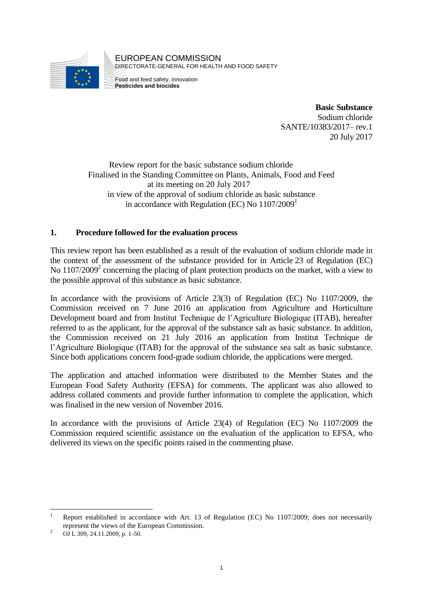

EUROPEAN COMMISSION DIRECTORATE-GENERAL FOR HEALTH AND FOOD SAFETY

Food and feed safety, innovation **Pesticides and biocides**

> **Basic Substance** Sodium chloride SANTE/10383/2017– rev.1 20 July 2017

Review report for the basic substance sodium chloride Finalised in the Standing Committee on Plants, Animals, Food and Feed at its meeting on 20 July 2017 in view of the approval of sodium chloride as basic substance in accordance with Regulation (EC) No  $1107/2009<sup>1</sup>$ 

## **1. Procedure followed for the evaluation process**

This review report has been established as a result of the evaluation of sodium chloride made in the context of the assessment of the substance provided for in Article 23 of Regulation (EC) No 1107/2009<sup>2</sup> concerning the placing of plant protection products on the market, with a view to the possible approval of this substance as basic substance.

In accordance with the provisions of Article 23(3) of Regulation (EC) No 1107/2009, the Commission received on 7 June 2016 an application from Agriculture and Horticulture Development board and from Institut Technique de l'Agriculture Biologique (ITAB), hereafter referred to as the applicant, for the approval of the substance salt as basic substance. In addition, the Commission received on 21 July 2016 an application from Institut Technique de l'Agriculture Biologique (ITAB) for the approval of the substance sea salt as basic substance. Since both applications concern food-grade sodium chloride, the applications were merged.

The application and attached information were distributed to the Member States and the European Food Safety Authority (EFSA) for comments. The applicant was also allowed to address collated comments and provide further information to complete the application, which was finalised in the new version of November 2016.

In accordance with the provisions of Article 23(4) of Regulation (EC) No 1107/2009 the Commission required scientific assistance on the evaluation of the application to EFSA, who delivered its views on the specific points raised in the commenting phase.

<sup>&</sup>lt;u>.</u> <sup>1</sup> Report established in accordance with Art. 13 of Regulation (EC) No 1107/2009; does not necessarily represent the views of the European Commission.

<sup>&</sup>lt;sup>2</sup> OJ L 309, 24.11.2009, p. 1-50.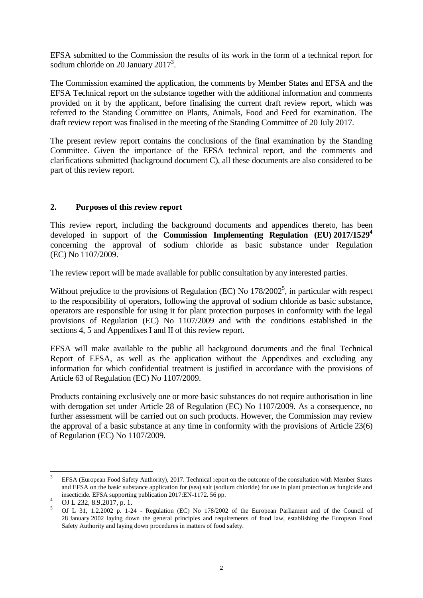EFSA submitted to the Commission the results of its work in the form of a technical report for sodium chloride on 20 January  $2017<sup>3</sup>$ .

The Commission examined the application, the comments by Member States and EFSA and the EFSA Technical report on the substance together with the additional information and comments provided on it by the applicant, before finalising the current draft review report, which was referred to the Standing Committee on Plants, Animals, Food and Feed for examination. The draft review report was finalised in the meeting of the Standing Committee of 20 July 2017.

The present review report contains the conclusions of the final examination by the Standing Committee. Given the importance of the EFSA technical report, and the comments and clarifications submitted (background document C), all these documents are also considered to be part of this review report.

## **2. Purposes of this review report**

This review report, including the background documents and appendices thereto, has been developed in support of the **Commission Implementing Regulation (EU) 2017/1529<sup>4</sup>** concerning the approval of sodium chloride as basic substance under Regulation (EC) No 1107/2009.

The review report will be made available for public consultation by any interested parties.

Without prejudice to the provisions of Regulation (EC) No  $178/2002^5$ , in particular with respect to the responsibility of operators, following the approval of sodium chloride as basic substance, operators are responsible for using it for plant protection purposes in conformity with the legal provisions of Regulation (EC) No 1107/2009 and with the conditions established in the sections 4, 5 and Appendixes I and II of this review report.

EFSA will make available to the public all background documents and the final Technical Report of EFSA, as well as the application without the Appendixes and excluding any information for which confidential treatment is justified in accordance with the provisions of Article 63 of Regulation (EC) No 1107/2009.

Products containing exclusively one or more basic substances do not require authorisation in line with derogation set under Article 28 of Regulation (EC) No 1107/2009. As a consequence, no further assessment will be carried out on such products. However, the Commission may review the approval of a basic substance at any time in conformity with the provisions of Article 23(6) of Regulation (EC) No 1107/2009.

 $\frac{1}{3}$ EFSA (European Food Safety Authority), 2017. Technical report on the outcome of the consultation with Member States and EFSA on the basic substance application for (sea) salt (sodium chloride) for use in plant protection as fungicide and insecticide. EFSA supporting publication 2017:EN-1172. 56 pp.

<sup>4</sup> OJ L 232, 8.9.2017, p. 1.

<sup>5</sup> OJ L 31, 1.2.2002 p. 1-24 - Regulation (EC) No 178/2002 of the European Parliament and of the Council of 28 January 2002 laying down the general principles and requirements of food law, establishing the European Food Safety Authority and laying down procedures in matters of food safety.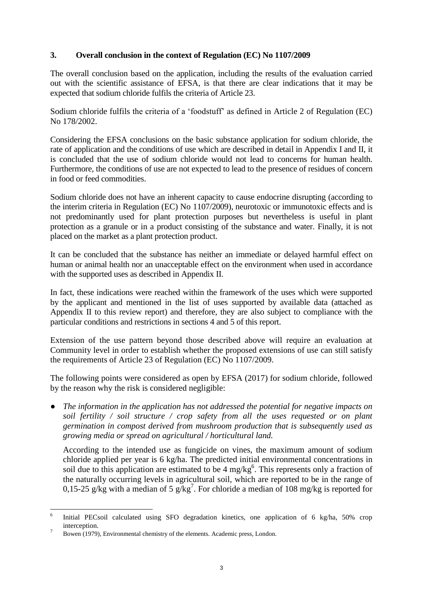## **3. Overall conclusion in the context of Regulation (EC) No 1107/2009**

The overall conclusion based on the application, including the results of the evaluation carried out with the scientific assistance of EFSA, is that there are clear indications that it may be expected that sodium chloride fulfils the criteria of Article 23.

Sodium chloride fulfils the criteria of a 'foodstuff' as defined in Article 2 of Regulation (EC) No 178/2002.

Considering the EFSA conclusions on the basic substance application for sodium chloride, the rate of application and the conditions of use which are described in detail in Appendix I and II, it is concluded that the use of sodium chloride would not lead to concerns for human health. Furthermore, the conditions of use are not expected to lead to the presence of residues of concern in food or feed commodities.

Sodium chloride does not have an inherent capacity to cause endocrine disrupting (according to the interim criteria in Regulation (EC) No 1107/2009), neurotoxic or immunotoxic effects and is not predominantly used for plant protection purposes but nevertheless is useful in plant protection as a granule or in a product consisting of the substance and water. Finally, it is not placed on the market as a plant protection product.

It can be concluded that the substance has neither an immediate or delayed harmful effect on human or animal health nor an unacceptable effect on the environment when used in accordance with the supported uses as described in Appendix II.

In fact, these indications were reached within the framework of the uses which were supported by the applicant and mentioned in the list of uses supported by available data (attached as Appendix II to this review report) and therefore, they are also subject to compliance with the particular conditions and restrictions in sections 4 and 5 of this report.

Extension of the use pattern beyond those described above will require an evaluation at Community level in order to establish whether the proposed extensions of use can still satisfy the requirements of Article 23 of Regulation (EC) No 1107/2009.

The following points were considered as open by EFSA (2017) for sodium chloride, followed by the reason why the risk is considered negligible:

*● The information in the application has not addressed the potential for negative impacts on soil fertility / soil structure / crop safety from all the uses requested or on plant germination in compost derived from mushroom production that is subsequently used as growing media or spread on agricultural / horticultural land.*

According to the intended use as fungicide on vines, the maximum amount of sodium chloride applied per year is 6 kg/ha. The predicted initial environmental concentrations in soil due to this application are estimated to be  $4 \text{ mg/kg}^6$ . This represents only a fraction of the naturally occurring levels in agricultural soil, which are reported to be in the range of 0,15-25 g/kg with a median of 5 g/kg<sup>7</sup>. For chloride a median of 108 mg/kg is reported for

 $\frac{1}{6}$ Initial PECsoil calculated using SFO degradation kinetics, one application of 6 kg/ha, 50% crop interception.

<sup>7</sup> Bowen (1979), Environmental chemistry of the elements. Academic press, London.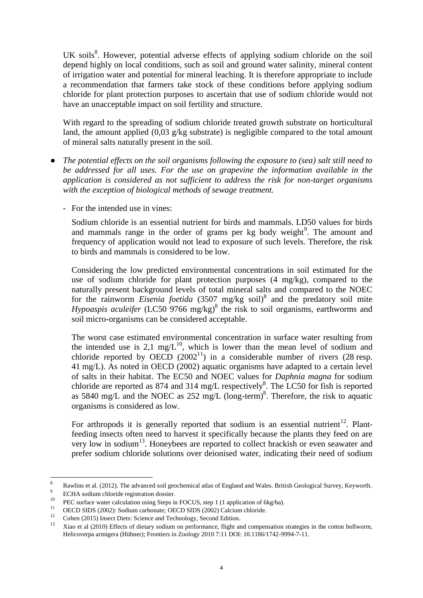UK soils<sup>8</sup>. However, potential adverse effects of applying sodium chloride on the soil depend highly on local conditions, such as soil and ground water salinity, mineral content of irrigation water and potential for mineral leaching. It is therefore appropriate to include a recommendation that farmers take stock of these conditions before applying sodium chloride for plant protection purposes to ascertain that use of sodium chloride would not have an unacceptable impact on soil fertility and structure.

With regard to the spreading of sodium chloride treated growth substrate on horticultural land, the amount applied (0,03 g/kg substrate) is negligible compared to the total amount of mineral salts naturally present in the soil.

- *● The potential effects on the soil organisms following the exposure to (sea) salt still need to be addressed for all uses. For the use on grapevine the information available in the application is considered as not sufficient to address the risk for non-target organisms with the exception of biological methods of sewage treatment.* 
	- For the intended use in vines:

Sodium chloride is an essential nutrient for birds and mammals. LD50 values for birds and mammals range in the order of grams per kg body weight<sup>9</sup>. The amount and frequency of application would not lead to exposure of such levels. Therefore, the risk to birds and mammals is considered to be low.

Considering the low predicted environmental concentrations in soil estimated for the use of sodium chloride for plant protection purposes (4 mg/kg), compared to the naturally present background levels of total mineral salts and compared to the NOEC for the rainworm *Eisenia foetida* (3507 mg/kg soil)<sup>8</sup> and the predatory soil mite Hypoaspis aculeifer (LC50 9766 mg/kg)<sup>8</sup> the risk to soil organisms, earthworms and soil micro-organisms can be considered acceptable.

The worst case estimated environmental concentration in surface water resulting from the intended use is 2,1 mg/ $L^{10}$ , which is lower than the mean level of sodium and chloride reported by OECD  $(2002^{11})$  in a considerable number of rivers (28 resp. 41 mg/L). As noted in OECD (2002) aquatic organisms have adapted to a certain level of salts in their habitat. The EC50 and NOEC values for *Daphnia magna* for sodium chloride are reported as 874 and 314 mg/L respectively<sup>8</sup>. The LC50 for fish is reported as 5840 mg/L and the NOEC as  $252 \text{ mg/L}$  (long-term)<sup>8</sup>. Therefore, the risk to aquatic organisms is considered as low.

For arthropods it is generally reported that sodium is an essential nutrient<sup>12</sup>. Plantfeeding insects often need to harvest it specifically because the plants they feed on are very low in sodium<sup>13</sup>. Honeybees are reported to collect brackish or even seawater and prefer sodium chloride solutions over deionised water, indicating their need of sodium

 $\frac{1}{8}$ Rawlins et al. (2012). The advanced soil geochemical atlas of England and Wales. British Geological Survey, Keyworth. 9 ECHA sodium chloride registration dossier.

<sup>&</sup>lt;sup>10</sup> PEC surface water calculation using Steps in FOCUS, step 1 (1 application of 6kg/ha).

<sup>&</sup>lt;sup>11</sup> OECD SIDS (2002): Sodium carbonate; OECD SIDS (2002) Calcium chloride.<br><sup>12</sup> Caban (2015) Insect Distus Science and Tashnalagu: Second Edition

<sup>&</sup>lt;sup>12</sup> Cohen (2015) Insect Diets: Science and Technology, Second Edition.<br><sup>13</sup> Yies at al. (2010) Effects of distance aligns as a performance flight as

<sup>13</sup> Xiao et al (2010) Effects of dietary sodium on performance, flight and compensation strategies in the cotton bollworm, Helicoverpa armigera (Hübner); Frontiers in Zoology 2010 7:11 DOI: 10.1186/1742-9994-7-11.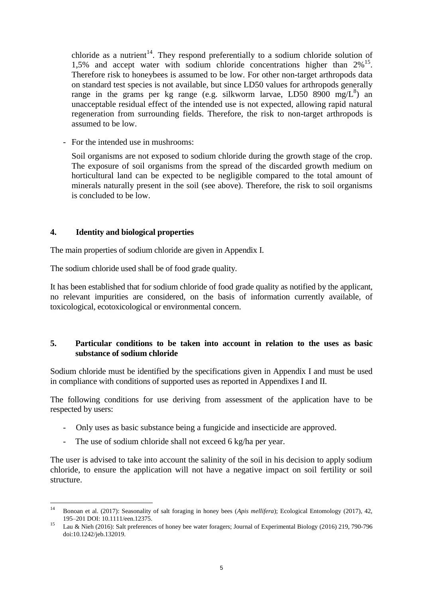chloride as a nutrient<sup>14</sup>. They respond preferentially to a sodium chloride solution of 1,5% and accept water with sodium chloride concentrations higher than  $2\%$ <sup>15</sup>. Therefore risk to honeybees is assumed to be low. For other non-target arthropods data on standard test species is not available, but since LD50 values for arthropods generally range in the grams per kg range (e.g. silkworm larvae, LD50 8900 mg/ $L^8$ ) an unacceptable residual effect of the intended use is not expected, allowing rapid natural regeneration from surrounding fields. Therefore, the risk to non-target arthropods is assumed to be low.

- For the intended use in mushrooms:

Soil organisms are not exposed to sodium chloride during the growth stage of the crop. The exposure of soil organisms from the spread of the discarded growth medium on horticultural land can be expected to be negligible compared to the total amount of minerals naturally present in the soil (see above). Therefore, the risk to soil organisms is concluded to be low.

### **4. Identity and biological properties**

The main properties of sodium chloride are given in Appendix I.

The sodium chloride used shall be of food grade quality.

It has been established that for sodium chloride of food grade quality as notified by the applicant, no relevant impurities are considered, on the basis of information currently available, of toxicological, ecotoxicological or environmental concern.

## **5. Particular conditions to be taken into account in relation to the uses as basic substance of sodium chloride**

Sodium chloride must be identified by the specifications given in Appendix I and must be used in compliance with conditions of supported uses as reported in Appendixes I and II.

The following conditions for use deriving from assessment of the application have to be respected by users:

- Only uses as basic substance being a fungicide and insecticide are approved.
- The use of sodium chloride shall not exceed 6 kg/ha per year.

The user is advised to take into account the salinity of the soil in his decision to apply sodium chloride, to ensure the application will not have a negative impact on soil fertility or soil structure.

 $14$ <sup>14</sup> Bonoan et al. (2017): Seasonality of salt foraging in honey bees (*Apis mellifera*); Ecological Entomology (2017), 42, 195–201 DOI: 10.1111/een.12375.

<sup>15</sup> Lau & Nieh (2016): Salt preferences of honey bee water foragers; Journal of Experimental Biology (2016) 219, 790-796 doi:10.1242/jeb.132019.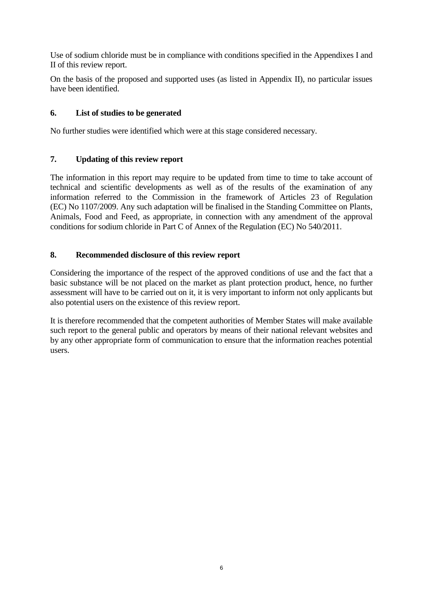Use of sodium chloride must be in compliance with conditions specified in the Appendixes I and II of this review report.

On the basis of the proposed and supported uses (as listed in Appendix II), no particular issues have been identified.

## **6. List of studies to be generated**

No further studies were identified which were at this stage considered necessary.

## **7. Updating of this review report**

The information in this report may require to be updated from time to time to take account of technical and scientific developments as well as of the results of the examination of any information referred to the Commission in the framework of Articles 23 of Regulation (EC) No 1107/2009. Any such adaptation will be finalised in the Standing Committee on Plants, Animals, Food and Feed, as appropriate, in connection with any amendment of the approval conditions for sodium chloride in Part C of Annex of the Regulation (EC) No 540/2011.

## **8. Recommended disclosure of this review report**

Considering the importance of the respect of the approved conditions of use and the fact that a basic substance will be not placed on the market as plant protection product, hence, no further assessment will have to be carried out on it, it is very important to inform not only applicants but also potential users on the existence of this review report.

It is therefore recommended that the competent authorities of Member States will make available such report to the general public and operators by means of their national relevant websites and by any other appropriate form of communication to ensure that the information reaches potential users.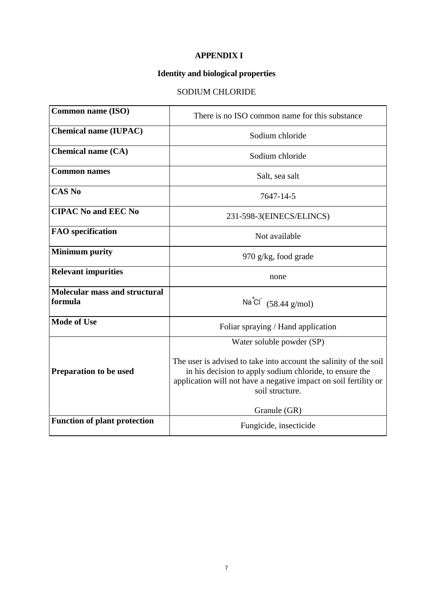## **APPENDIX I**

# **Identity and biological properties**

# SODIUM CHLORIDE

| <b>Common name (ISO)</b>                        | There is no ISO common name for this substance                                                                                                                                                                                                                   |
|-------------------------------------------------|------------------------------------------------------------------------------------------------------------------------------------------------------------------------------------------------------------------------------------------------------------------|
| <b>Chemical name (IUPAC)</b>                    | Sodium chloride                                                                                                                                                                                                                                                  |
| <b>Chemical name (CA)</b>                       | Sodium chloride                                                                                                                                                                                                                                                  |
| <b>Common names</b>                             | Salt, sea salt                                                                                                                                                                                                                                                   |
| <b>CAS No</b>                                   | 7647-14-5                                                                                                                                                                                                                                                        |
| <b>CIPAC No and EEC No</b>                      | 231-598-3(EINECS/ELINCS)                                                                                                                                                                                                                                         |
| <b>FAO</b> specification                        | Not available                                                                                                                                                                                                                                                    |
| <b>Minimum purity</b>                           | 970 g/kg, food grade                                                                                                                                                                                                                                             |
| <b>Relevant impurities</b>                      | none                                                                                                                                                                                                                                                             |
| <b>Molecular mass and structural</b><br>formula | Na <sup>t</sup> Cl $(58.44 \text{ g/mol})$                                                                                                                                                                                                                       |
| <b>Mode of Use</b>                              | Foliar spraying / Hand application                                                                                                                                                                                                                               |
| <b>Preparation to be used</b>                   | Water soluble powder (SP)<br>The user is advised to take into account the salinity of the soil<br>in his decision to apply sodium chloride, to ensure the<br>application will not have a negative impact on soil fertility or<br>soil structure.<br>Granule (GR) |
| <b>Function of plant protection</b>             | Fungicide, insecticide                                                                                                                                                                                                                                           |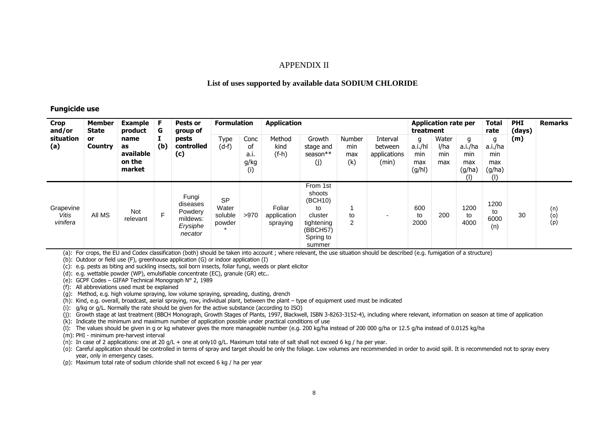### APPENDIX II

### **List of uses supported by available data SODIUM CHLORIDE**

#### **Fungicide use**

| <b>Crop</b><br>and/or          | Member<br><b>State</b><br>or<br>Country | <b>Example</b><br>product<br>name<br>as<br>available<br>on the<br>market | F<br>G<br>(b) | Pests or<br>group of                                            | <b>Formulation</b>                      |                                   | <b>Application</b>                |                                                                                                 |                             |                                              |                                      | <b>Application rate per</b><br>treatment |                                               | <b>Total</b><br>rate                           | <b>PHI</b><br>(days) | <b>Remarks</b>    |
|--------------------------------|-----------------------------------------|--------------------------------------------------------------------------|---------------|-----------------------------------------------------------------|-----------------------------------------|-----------------------------------|-----------------------------------|-------------------------------------------------------------------------------------------------|-----------------------------|----------------------------------------------|--------------------------------------|------------------------------------------|-----------------------------------------------|------------------------------------------------|----------------------|-------------------|
| situation<br>(a)               |                                         |                                                                          |               | pests<br>controlled<br>(c)                                      | Type<br>$(d-f)$                         | Conc<br>0f<br>a.i.<br>g/kg<br>(i) | Method<br>kind<br>$(f-h)$         | Growth<br>stage and<br>season**<br>(j)                                                          | Number<br>min<br>max<br>(k) | Interval<br>between<br>applications<br>(min) | g<br>a.i./hl<br>min<br>max<br>(g/hl) | Water<br>l/ha<br>min<br>max              | g<br>a.i./ha<br>min<br>max<br>(g/ha)<br>$($ l | g<br>a.i./ha<br>min<br>max<br>(g/ha)<br>$($  ) | (m)                  |                   |
| Grapevine<br>Vitis<br>vinifera | All MS                                  | Not<br>relevant                                                          | F             | Fungi<br>diseases<br>Powdery<br>mildews:<br>Erysiphe<br>necator | <b>SP</b><br>Water<br>soluble<br>powder | >970                              | Foliar<br>application<br>spraying | From 1st<br>shoots<br>(BCH10)<br>to<br>cluster<br>tightening<br>(BBCH57)<br>Spring to<br>summer | to<br>2                     |                                              | 600<br>to<br>2000                    | 200                                      | 1200<br>to<br>4000                            | 1200<br>to<br>6000<br>(n)                      | 30                   | (n)<br>(o)<br>(p) |

(a): For crops, the EU and Codex classification (both) should be taken into account ; where relevant, the use situation should be described (e.g. fumigation of a structure)

(b): Outdoor or field use (F), greenhouse application (G) or indoor application (I)

(c): e.g. pests as biting and suckling insects, soil born insects, foliar fungi, weeds or plant elicitor

(d): e.g. wettable powder (WP), emulsifiable concentrate (EC), granule (GR) etc..

(e): GCPF Codes – GIFAP Technical Monograph N° 2, 1989

(f): All abbreviations used must be explained

(g): Method, e.g. high volume spraying, low volume spraying, spreading, dusting, drench

(h): Kind, e.g. overall, broadcast, aerial spraying, row, individual plant, between the plant – type of equipment used must be indicated

(i): g/kg or g/L. Normally the rate should be given for the active substance (according to ISO)

(j): Growth stage at last treatment (BBCH Monograph, Growth Stages of Plants, 1997, Blackwell, ISBN 3-8263-3152-4), including where relevant, information on season at time of application

(k): Indicate the minimum and maximum number of application possible under practical conditions of use

(l): The values should be given in g or kg whatever gives the more manageable number (e.g. 200 kg/ha instead of 200 000 g/ha or 12.5 g/ha instead of 0.0125 kg/ha

(m): PHI - minimum pre-harvest interval

(n): In case of 2 applications: one at 20 g/L + one at only10 g/L. Maximum total rate of salt shall not exceed 6 kg / ha per year.

(o): Careful application should be controlled in terms of spray and target should be only the foliage. Low volumes are recommended in order to avoid spill. It is recommended not to spray every year, only in emergency cases.

(p): Maximum total rate of sodium chloride shall not exceed 6 kg / ha per year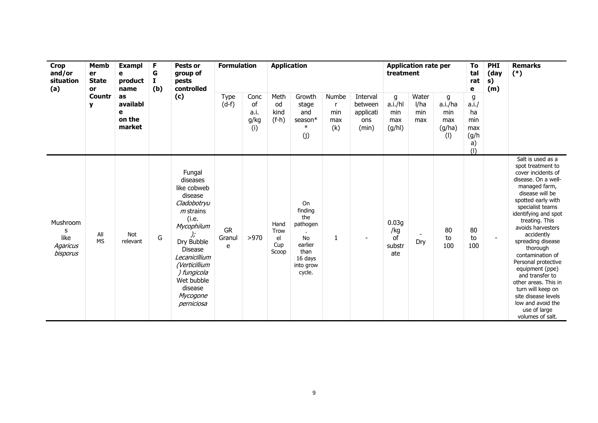| <b>Crop</b><br>and/or<br>situation<br>(a)            | Memb<br>er<br><b>State</b><br>or<br><b>Countr</b><br>y | <b>Exampl</b><br>e<br>product<br>name<br>as<br>availabl<br>e<br>on the<br>market | F<br>G<br>1<br>(b) | Pests or<br>group of<br>pests<br>controlled                                                                                                                                                                                           | <b>Formulation</b>                                                                                                                                                                                                                                                                                                   |                                             | <b>Application</b>                                  |                                                                                                    |              |  | <b>Application rate per</b><br>treatment |     |                 |                 | <b>PHI</b><br>(day<br>s)<br>(m) | <b>Remarks</b><br>$(*)$                                                                                                                                                                                                                                                                                                                                                                                                                                                                       |
|------------------------------------------------------|--------------------------------------------------------|----------------------------------------------------------------------------------|--------------------|---------------------------------------------------------------------------------------------------------------------------------------------------------------------------------------------------------------------------------------|----------------------------------------------------------------------------------------------------------------------------------------------------------------------------------------------------------------------------------------------------------------------------------------------------------------------|---------------------------------------------|-----------------------------------------------------|----------------------------------------------------------------------------------------------------|--------------|--|------------------------------------------|-----|-----------------|-----------------|---------------------------------|-----------------------------------------------------------------------------------------------------------------------------------------------------------------------------------------------------------------------------------------------------------------------------------------------------------------------------------------------------------------------------------------------------------------------------------------------------------------------------------------------|
|                                                      |                                                        |                                                                                  |                    | (c)                                                                                                                                                                                                                                   | Type<br>Meth<br>Growth<br>Numbe<br>Water<br>Conc<br>Interval<br>g<br>$(d-f)$<br>a.i./hl<br>of<br>l/ha<br>od<br>between<br>stage<br>$\mathsf{r}$<br>a.i.<br>and<br>min<br>kind<br>applicati<br>min<br>min<br>g/kg<br>$(f-h)$<br>season*<br>max<br>ons<br>max<br>max<br>$\ast$<br>(i)<br>(k)<br>(g/hl)<br>(min)<br>(j) | g<br>a.i./ha<br>min<br>max<br>(g/ha)<br>(1) | g<br>a.i.<br>ha<br>min<br>max<br>(g/h)<br>a)<br>(1) |                                                                                                    |              |  |                                          |     |                 |                 |                                 |                                                                                                                                                                                                                                                                                                                                                                                                                                                                                               |
| Mushroom<br>S<br>like<br><b>Agaricus</b><br>bisporus | All<br><b>MS</b>                                       | <b>Not</b><br>relevant                                                           | G                  | Fungal<br>diseases<br>like cobweb<br>disease<br>Cladobotryu<br>$m$ strains<br>(i.e.<br>Mycophilum<br>Dry Bubble<br><b>Disease</b><br>Lecanicillium<br>(Verticillium<br>) fungicola<br>Wet bubble<br>disease<br>Mycogone<br>perniciosa | <b>GR</b><br>Granul<br>e                                                                                                                                                                                                                                                                                             | >970                                        | Hand<br>Trow<br>el<br>Cup<br>Scoop                  | On<br>finding<br>the<br>pathogen<br><b>No</b><br>earlier<br>than<br>16 days<br>into grow<br>cycle. | $\mathbf{1}$ |  | 0.03g<br>/kg<br>of<br>substr<br>ate      | Dry | 80<br>to<br>100 | 80<br>to<br>100 | $\blacksquare$                  | Salt is used as a<br>spot treatment to<br>cover incidents of<br>disease. On a well-<br>managed farm,<br>disease will be<br>spotted early with<br>specialist teams<br>identifying and spot<br>treating. This<br>avoids harvesters<br>accidently<br>spreading disease<br>thorough<br>contamination of<br>Personal protective<br>equipment (ppe)<br>and transfer to<br>other areas. This in<br>turn will keep on<br>site disease levels<br>low and avoid the<br>use of large<br>volumes of salt. |